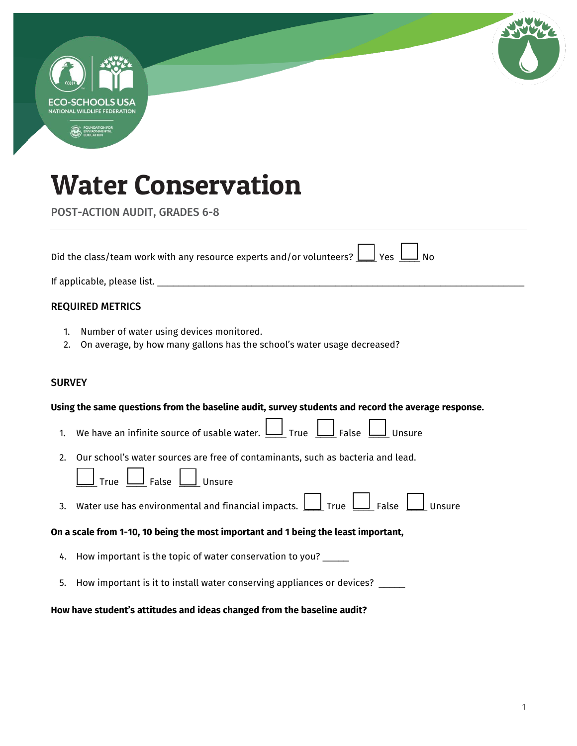|               | ECO-SCHOOLS USA<br><b>NATIONAL WILDLIFE FEDERATION</b>                                                              |
|---------------|---------------------------------------------------------------------------------------------------------------------|
|               |                                                                                                                     |
|               | <b>Water Conservation</b>                                                                                           |
|               | <b>POST-ACTION AUDIT, GRADES 6-8</b>                                                                                |
|               | Did the class/team work with any resource experts and/or volunteers? $\bigsqcup$ Yes $\bigsqcup$ No                 |
|               |                                                                                                                     |
|               | <b>REQUIRED METRICS</b>                                                                                             |
| 1.<br>2.      | Number of water using devices monitored.<br>On average, by how many gallons has the school's water usage decreased? |
| <b>SURVEY</b> |                                                                                                                     |
|               | Using the same questions from the baseline audit, survey students and record the average response.                  |
| 1.            | We have an infinite source of usable water. $\bigsqcup_{n=1}^{\infty}$ True $\bigsqcup_{n=1}^{\infty}$ Unsure       |
| 2.            | Our school's water sources are free of contaminants, such as bacteria and lead.                                     |
|               | True $\bigsqcup$ False $\bigsqcup$ Unsure                                                                           |
| 3.            | Water use has environmental and financial impacts. $\bigsqcup$ True $\bigsqcup$ False $\bigsqcup$ Unsure            |
|               | On a scale from 1-10, 10 being the most important and 1 being the least important,                                  |
|               | 4. How important is the topic of water conservation to you? _____                                                   |
| 5.            | How important is it to install water conserving appliances or devices? ____                                         |
|               |                                                                                                                     |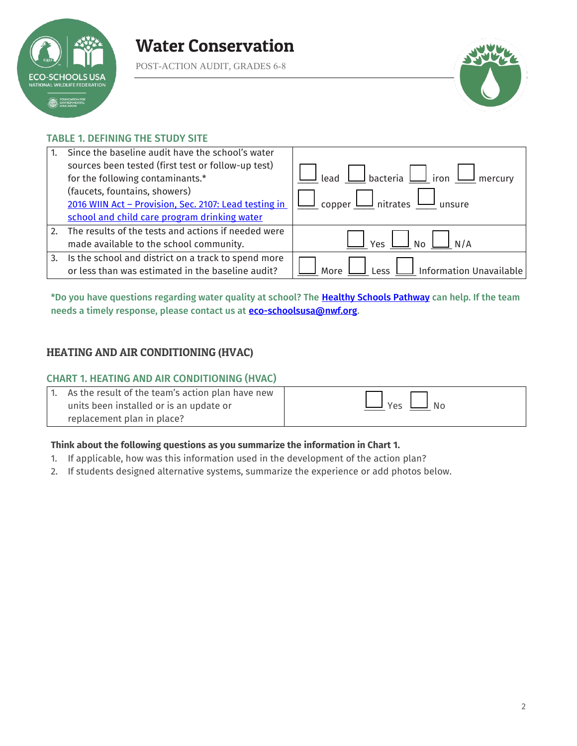

POST-ACTION AUDIT, GRADES 6-8



### TABLE 1. DEFINING THE STUDY SITE

|    | Since the baseline audit have the school's water      |                                                                |
|----|-------------------------------------------------------|----------------------------------------------------------------|
|    | sources been tested (first test or follow-up test)    |                                                                |
|    | for the following contaminants.*                      | Lead $\bigsqcup$ bacteria $\bigsqcup$ iron $\bigsqcup$ mercury |
|    | (faucets, fountains, showers)                         |                                                                |
|    | 2016 WIIN Act - Provision, Sec. 2107: Lead testing in | copper $\bigsqcup$ nitrates $\bigsqcup$ unsure                 |
|    | school and child care program drinking water          |                                                                |
| 2. | The results of the tests and actions if needed were   |                                                                |
|    | made available to the school community.               | Yes<br>No<br>N/A                                               |
| 3. | Is the school and district on a track to spend more   |                                                                |
|    | or less than was estimated in the baseline audit?     | Information Unavailable<br><b>Less</b>                         |

\*Do you have questions regarding water quality at school? The Healthy Schools Pathway can help. If the team needs a timely response, please contact us at **eco-schoolsusa@nwf.org**.

### HEATING AND AIR CONDITIONING (HVAC)

#### CHART 1. HEATING AND AIR CONDITIONING (HVAC)

| 1. As the result of the team's action plan have new |                      |
|-----------------------------------------------------|----------------------|
| units been installed or is an update or             | $\Box$ Yes $\Box$ No |
| replacement plan in place?                          |                      |

### **Think about the following questions as you summarize the information in Chart 1.**

- 1. If applicable, how was this information used in the development of the action plan?
- 2. If students designed alternative systems, summarize the experience or add photos below.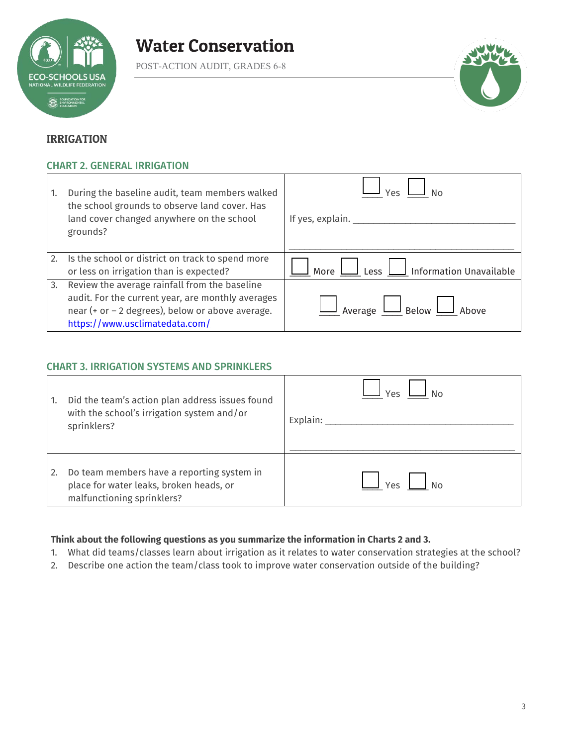

POST-ACTION AUDIT, GRADES 6-8



### IRRIGATION

### CHART 2. GENERAL IRRIGATION

| 1. | During the baseline audit, team members walked<br>the school grounds to observe land cover. Has<br>land cover changed anywhere on the school<br>grounds?                                 | ۵۹/<br>If yes, explain. $\_\_$         |
|----|------------------------------------------------------------------------------------------------------------------------------------------------------------------------------------------|----------------------------------------|
| 2. | Is the school or district on track to spend more<br>or less on irrigation than is expected?                                                                                              | $\Box$ Information Unavailable<br>More |
| 3. | Review the average rainfall from the baseline<br>audit. For the current year, are monthly averages<br>near (+ or - 2 degrees), below or above average.<br>https://www.usclimatedata.com/ | $\Box$ $_{\rm Below}$ L<br>Average L   |

### CHART 3. IRRIGATION SYSTEMS AND SPRINKLERS

| 1. | Did the team's action plan address issues found<br>with the school's irrigation system and/or<br>sprinklers?        | Υρς<br>Explain: |
|----|---------------------------------------------------------------------------------------------------------------------|-----------------|
| 2. | Do team members have a reporting system in<br>place for water leaks, broken heads, or<br>malfunctioning sprinklers? | ٧ρς             |

### **Think about the following questions as you summarize the information in Charts 2 and 3.**

- 1. What did teams/classes learn about irrigation as it relates to water conservation strategies at the school?
- 2. Describe one action the team/class took to improve water conservation outside of the building?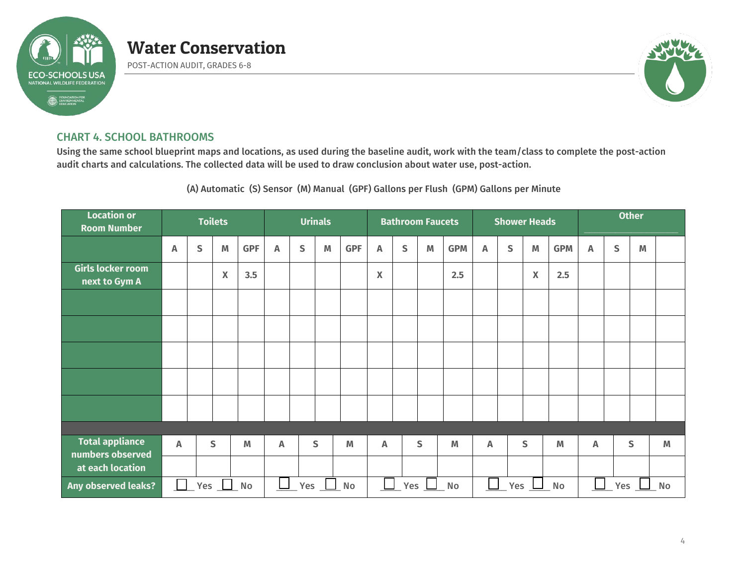

POST-ACTION AUDIT, GRADES 6-8



### CHART 4. SCHOOL BATHROOMS

Using the same school blueprint maps and locations, as used during the baseline audit, work with the team/class to complete the post-action audit charts and calculations. The collected data will be used to draw conclusion about water use, post-action.

(A) Automatic (S) Sensor (M) Manual (GPF) Gallons per Flush (GPM) Gallons per Minute

| <b>Location or</b><br><b>Room Number</b>                  | <b>Toilets</b> |   |     |            |    |                            | <b>Urinals</b> |                                                                                       |             |                            | <b>Bathroom Faucets</b>                                                               |            |                           | <b>Shower Heads</b>        |                           |            | <b>Other</b>              |   |   |   |
|-----------------------------------------------------------|----------------|---|-----|------------|----|----------------------------|----------------|---------------------------------------------------------------------------------------|-------------|----------------------------|---------------------------------------------------------------------------------------|------------|---------------------------|----------------------------|---------------------------|------------|---------------------------|---|---|---|
|                                                           | A              | S | M   | <b>GPF</b> | A  | $\mathsf{S}$               | M              | <b>GPF</b>                                                                            | Α           | S                          | $\mathsf{M}% _{T}=\mathsf{M}_{T}\!\left( a,b\right) ,\ \mathsf{M}_{T}=\mathsf{M}_{T}$ | <b>GPM</b> | $\boldsymbol{\mathsf{A}}$ | S                          | M                         | <b>GPM</b> | $\boldsymbol{\mathsf{A}}$ | S | M |   |
| Girls locker room<br>next to Gym A                        |                |   | X   | 3.5        |    |                            |                |                                                                                       | $\mathbf X$ |                            |                                                                                       | 2.5        |                           |                            | $\boldsymbol{\mathsf{X}}$ | 2.5        |                           |   |   |   |
|                                                           |                |   |     |            |    |                            |                |                                                                                       |             |                            |                                                                                       |            |                           |                            |                           |            |                           |   |   |   |
|                                                           |                |   |     |            |    |                            |                |                                                                                       |             |                            |                                                                                       |            |                           |                            |                           |            |                           |   |   |   |
|                                                           |                |   |     |            |    |                            |                |                                                                                       |             |                            |                                                                                       |            |                           |                            |                           |            |                           |   |   |   |
|                                                           |                |   |     |            |    |                            |                |                                                                                       |             |                            |                                                                                       |            |                           |                            |                           |            |                           |   |   |   |
|                                                           |                |   |     |            |    |                            |                |                                                                                       |             |                            |                                                                                       |            |                           |                            |                           |            |                           |   |   |   |
|                                                           |                |   |     |            |    |                            |                |                                                                                       |             |                            |                                                                                       |            |                           |                            |                           |            |                           |   |   |   |
| <b>Total appliance</b><br>numbers observed                | A              |   | S   | M          | A  |                            | $\mathsf{S}$   | $\mathsf{M}% _{T}=\mathsf{M}_{T}\!\left( a,b\right) ,\ \mathsf{M}_{T}=\mathsf{M}_{T}$ | A           |                            | S                                                                                     | M          | $\mathbb A$               |                            | S                         | M          | Α                         |   | S | M |
| at each location                                          |                |   |     |            |    |                            |                |                                                                                       |             |                            |                                                                                       |            |                           |                            |                           |            |                           |   |   |   |
| Any observed leaks?<br>Yes<br>$\mathbb{R}^n$<br><b>No</b> |                |   | Yes |            | No | $\Box$<br>Yes<br><b>No</b> |                |                                                                                       |             | $\Box$<br>Yes<br><b>No</b> |                                                                                       |            |                           | $\Box$<br>Yes<br><b>No</b> |                           |            |                           |   |   |   |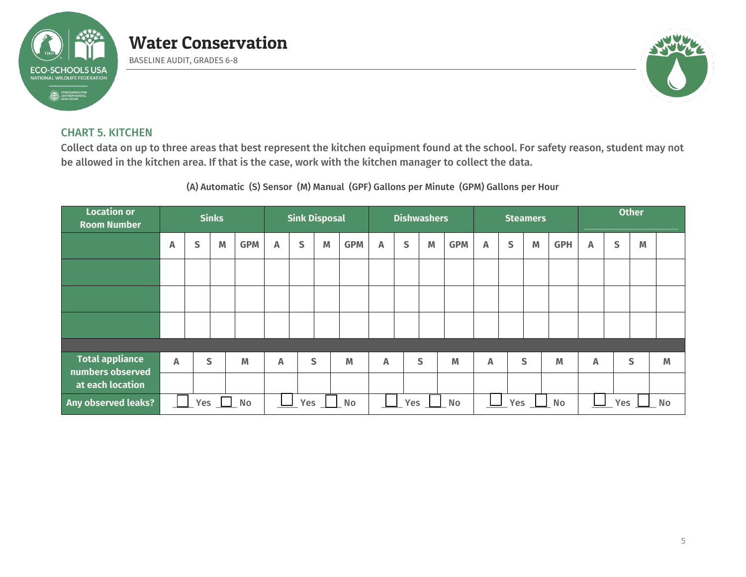

BASELINE AUDIT, GRADES 6-8



### CHART 5. KITCHEN

Collect data on up to three areas that best represent the kitchen equipment found at the school. For safety reason, student may not be allowed in the kitchen area. If that is the case, work with the kitchen manager to collect the data.

(A) Automatic (S) Sensor (M) Manual (GPF) Gallons per Minute (GPM) Gallons per Hour

| <b>Location or</b><br><b>Room Number</b>   | <b>Sinks</b> |   |            |                |                           | <b>Sink Disposal</b> |   | <b>Dishwashers</b> |                           |   |   |            |                           | <b>Steamers</b> |   | <b>Other</b>            |   |   |              |   |
|--------------------------------------------|--------------|---|------------|----------------|---------------------------|----------------------|---|--------------------|---------------------------|---|---|------------|---------------------------|-----------------|---|-------------------------|---|---|--------------|---|
|                                            | Α            | S | M          | <b>GPM</b>     | Α                         | S                    | M | <b>GPM</b>         | $\boldsymbol{\mathsf{A}}$ | S | M | <b>GPM</b> | Α                         | $\mathsf{s}$    | M | <b>GPH</b>              | Α | S | M            |   |
|                                            |              |   |            |                |                           |                      |   |                    |                           |   |   |            |                           |                 |   |                         |   |   |              |   |
|                                            |              |   |            |                |                           |                      |   |                    |                           |   |   |            |                           |                 |   |                         |   |   |              |   |
|                                            |              |   |            |                |                           |                      |   |                    |                           |   |   |            |                           |                 |   |                         |   |   |              |   |
|                                            |              |   |            |                |                           |                      |   |                    |                           |   |   |            |                           |                 |   |                         |   |   |              |   |
| <b>Total appliance</b><br>numbers observed | $\mathbb{A}$ |   | S          | M              | $\boldsymbol{\mathsf{A}}$ |                      | S | M                  | Α                         |   | S | M          | $\boldsymbol{\mathsf{A}}$ |                 | S | M                       | Α |   | $\mathsf{S}$ | M |
| at each location                           |              |   |            |                |                           |                      |   |                    |                           |   |   |            |                           |                 |   |                         |   |   |              |   |
| Any observed leaks?                        |              |   | Yes $\Box$ | N <sub>o</sub> | Yes<br><b>No</b>          |                      |   |                    | Yes<br><b>No</b>          |   |   | Yes<br>No  |                           |                 |   | <b>Yes</b><br><b>No</b> |   |   |              |   |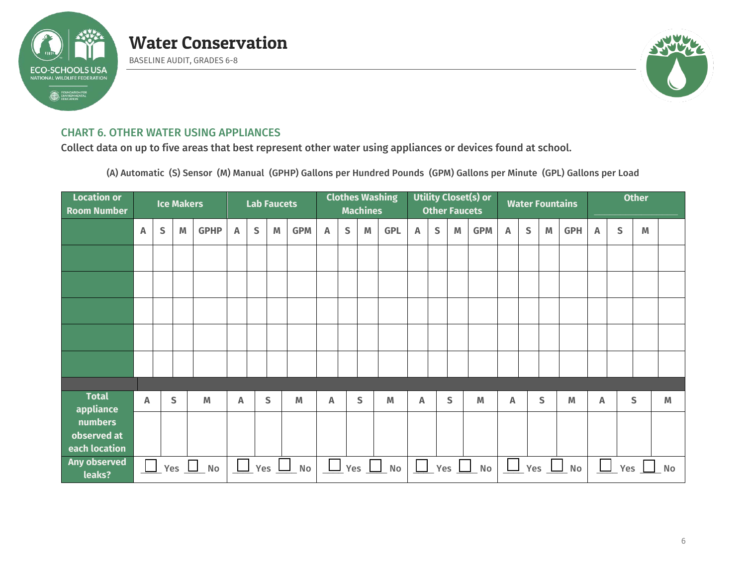

BASELINE AUDIT, GRADES 6-8



### CHART 6. OTHER WATER USING APPLIANCES

Collect data on up to five areas that best represent other water using appliances or devices found at school.

(A) Automatic (S) Sensor (M) Manual (GPHP) Gallons per Hundred Pounds (GPM) Gallons per Minute (GPL) Gallons per Load

| <b>Location or</b><br><b>Room Number</b> |   |           | <b>Ice Makers</b> |                |        |   | <b>Lab Faucets</b> |            | <b>Clothes Washing</b><br><b>Machines</b> |              |   |            | <b>Utility Closet(s) or</b><br><b>Other Faucets</b> |              |               |            |   |              |                                                                                       | <b>Water Fountains</b> | <b>Other</b> |     |   |           |
|------------------------------------------|---|-----------|-------------------|----------------|--------|---|--------------------|------------|-------------------------------------------|--------------|---|------------|-----------------------------------------------------|--------------|---------------|------------|---|--------------|---------------------------------------------------------------------------------------|------------------------|--------------|-----|---|-----------|
|                                          | A | ${\sf S}$ | M                 | <b>GPHP</b>    | Α      | S | M                  | <b>GPM</b> | Α                                         | $\mathsf{s}$ | M | <b>GPL</b> | Α                                                   | $\mathsf{S}$ | M             | <b>GPM</b> | A | $\mathsf{S}$ | $\mathsf{M}% _{T}=\mathsf{M}_{T}\!\left( a,b\right) ,\ \mathsf{M}_{T}=\mathsf{M}_{T}$ | <b>GPH</b>             | A            | S   | M |           |
|                                          |   |           |                   |                |        |   |                    |            |                                           |              |   |            |                                                     |              |               |            |   |              |                                                                                       |                        |              |     |   |           |
|                                          |   |           |                   |                |        |   |                    |            |                                           |              |   |            |                                                     |              |               |            |   |              |                                                                                       |                        |              |     |   |           |
|                                          |   |           |                   |                |        |   |                    |            |                                           |              |   |            |                                                     |              |               |            |   |              |                                                                                       |                        |              |     |   |           |
|                                          |   |           |                   |                |        |   |                    |            |                                           |              |   |            |                                                     |              |               |            |   |              |                                                                                       |                        |              |     |   |           |
|                                          |   |           |                   |                |        |   |                    |            |                                           |              |   |            |                                                     |              |               |            |   |              |                                                                                       |                        |              |     |   |           |
|                                          |   |           |                   |                |        |   |                    |            |                                           |              |   |            |                                                     |              |               |            |   |              |                                                                                       |                        |              |     |   |           |
| <b>Total</b><br>appliance                | A |           | S                 | M              | A      |   | $\mathsf{S}$       | M          | A                                         |              | S | M          | A                                                   |              | S             | M          | Α |              | S                                                                                     | M                      | A            |     | S | M         |
| numbers<br>observed at<br>each location  |   |           |                   |                |        |   |                    |            |                                           |              |   |            |                                                     |              |               |            |   |              |                                                                                       |                        |              |     |   |           |
| Any observed<br>leaks?                   |   |           | $\Box$ Yes $\Box$ | N <sub>o</sub> | $\Box$ |   |                    | $Yes$ Mo   |                                           |              |   | $Yes$ No   | $\Box$                                              |              | _ Yes $\perp$ | $N$ o      |   |              |                                                                                       | $\Box$ Yes $\Box$ No   |              | Yes |   | <b>No</b> |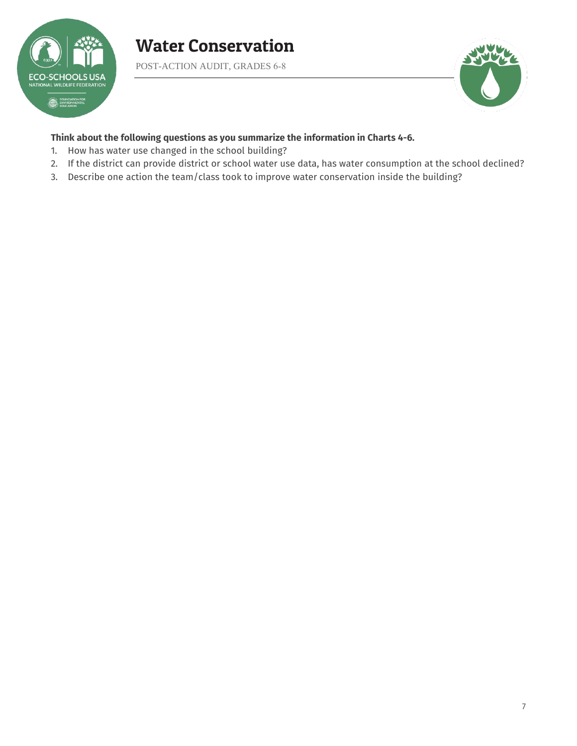

POST-ACTION AUDIT, GRADES 6-8



### **Think about the following questions as you summarize the information in Charts 4-6.**

- 1. How has water use changed in the school building?
- 2. If the district can provide district or school water use data, has water consumption at the school declined?
- 3. Describe one action the team/class took to improve water conservation inside the building?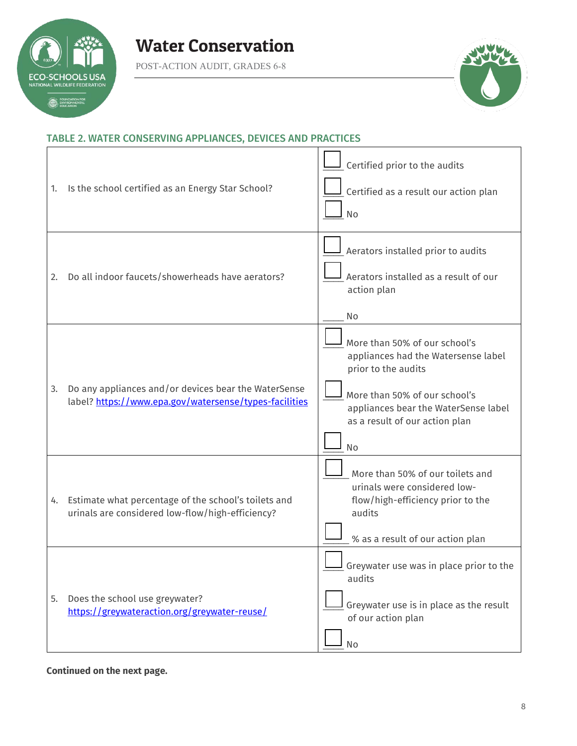

POST-ACTION AUDIT, GRADES 6-8



## TABLE 2. WATER CONSERVING APPLIANCES, DEVICES AND PRACTICES

| 1. | Is the school certified as an Energy Star School?                                                              | Certified prior to the audits<br>Certified as a result our action plan<br>No                                                                                                                                 |
|----|----------------------------------------------------------------------------------------------------------------|--------------------------------------------------------------------------------------------------------------------------------------------------------------------------------------------------------------|
| 2. | Do all indoor faucets/showerheads have aerators?                                                               | Aerators installed prior to audits<br>Aerators installed as a result of our<br>action plan<br>No                                                                                                             |
| 3. | Do any appliances and/or devices bear the WaterSense<br>label? https://www.epa.gov/watersense/types-facilities | More than 50% of our school's<br>appliances had the Watersense label<br>prior to the audits<br>More than 50% of our school's<br>appliances bear the WaterSense label<br>as a result of our action plan<br>No |
| 4. | Estimate what percentage of the school's toilets and<br>urinals are considered low-flow/high-efficiency?       | More than 50% of our toilets and<br>urinals were considered low-<br>flow/high-efficiency prior to the<br>audits<br>% as a result of our action plan                                                          |
| 5. | Does the school use greywater?<br>https://greywateraction.org/greywater-reuse/                                 | Greywater use was in place prior to the<br>audits<br>Greywater use is in place as the result<br>of our action plan<br>No                                                                                     |

**Continued on the next page.**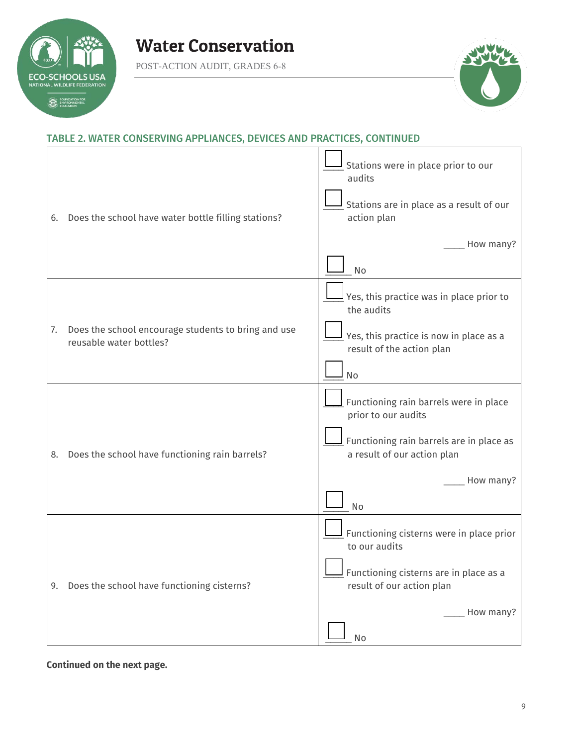

POST-ACTION AUDIT, GRADES 6-8



### TABLE 2. WATER CONSERVING APPLIANCES, DEVICES AND PRACTICES, CONTINUED

| 6. | Does the school have water bottle filling stations?                            | Stations were in place prior to our<br>audits<br>Stations are in place as a result of our<br>action plan<br>How many? |
|----|--------------------------------------------------------------------------------|-----------------------------------------------------------------------------------------------------------------------|
|    |                                                                                | No                                                                                                                    |
|    |                                                                                | Yes, this practice was in place prior to<br>the audits                                                                |
| 7. | Does the school encourage students to bring and use<br>reusable water bottles? | Yes, this practice is now in place as a<br>result of the action plan                                                  |
|    |                                                                                | No                                                                                                                    |
|    |                                                                                | Functioning rain barrels were in place<br>prior to our audits                                                         |
| 8. | Does the school have functioning rain barrels?                                 | $\overline{\mathsf{I}}$ Functioning rain barrels are in place as<br>a result of our action plan                       |
|    |                                                                                | How many?                                                                                                             |
|    |                                                                                | No                                                                                                                    |
|    |                                                                                | $\overline{\mathsf{I}}$ Functioning cisterns were in place prior<br>to our audits                                     |
|    | 9. Does the school have functioning cisterns?                                  | Functioning cisterns are in place as a<br>result of our action plan                                                   |
|    |                                                                                | How many?                                                                                                             |
|    |                                                                                | No                                                                                                                    |

**Continued on the next page.**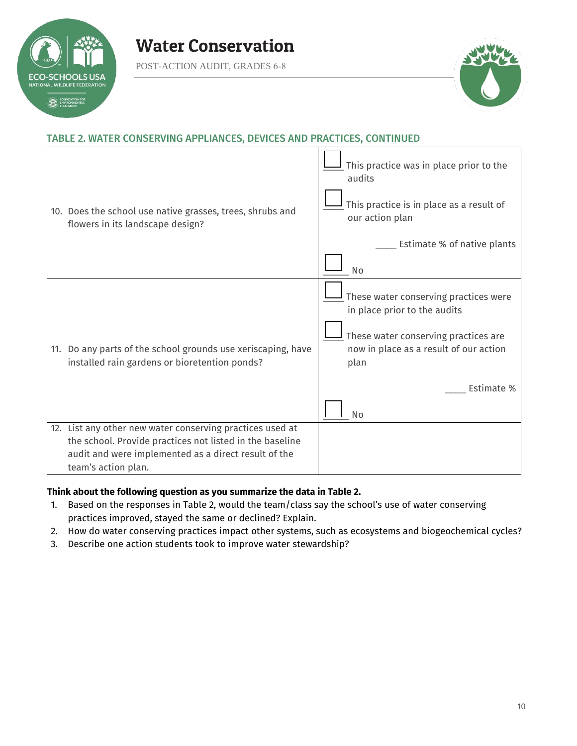

POST-ACTION AUDIT, GRADES 6-8



### TABLE 2. WATER CONSERVING APPLIANCES, DEVICES AND PRACTICES, CONTINUED

| 10. Does the school use native grasses, trees, shrubs and<br>flowers in its landscape design?                                                                                                        | This practice was in place prior to the<br>audits<br>This practice is in place as a result of<br>our action plan<br>Estimate % of native plants<br><b>No</b>                               |
|------------------------------------------------------------------------------------------------------------------------------------------------------------------------------------------------------|--------------------------------------------------------------------------------------------------------------------------------------------------------------------------------------------|
| 11. Do any parts of the school grounds use xeriscaping, have<br>installed rain gardens or bioretention ponds?                                                                                        | These water conserving practices were<br>in place prior to the audits<br>These water conserving practices are<br>now in place as a result of our action<br>plan<br>Estimate %<br><b>No</b> |
| 12. List any other new water conserving practices used at<br>the school. Provide practices not listed in the baseline<br>audit and were implemented as a direct result of the<br>team's action plan. |                                                                                                                                                                                            |

### **Think about the following question as you summarize the data in Table 2.**

- 1. Based on the responses in Table 2, would the team/class say the school's use of water conserving practices improved, stayed the same or declined? Explain.
- 2. How do water conserving practices impact other systems, such as ecosystems and biogeochemical cycles?
- 3. Describe one action students took to improve water stewardship?